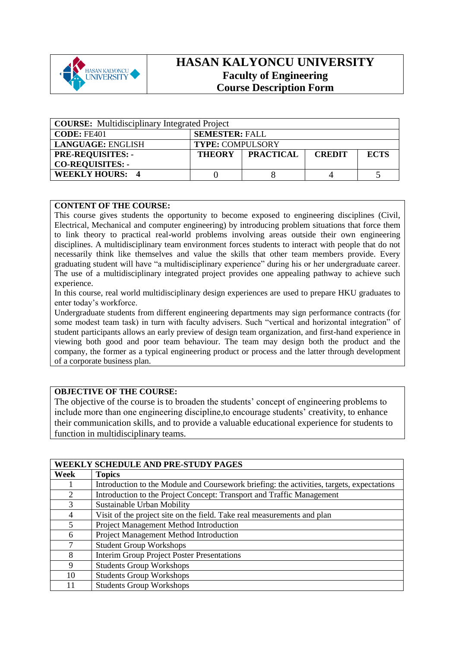

## **HASAN KALYONCU UNIVERSITY Faculty of Engineering Course Description Form**

| <b>COURSE:</b> Multidisciplinary Integrated Project |                         |                  |               |             |
|-----------------------------------------------------|-------------------------|------------------|---------------|-------------|
| <b>CODE: FE401</b>                                  | <b>SEMESTER: FALL</b>   |                  |               |             |
| <b>LANGUAGE: ENGLISH</b>                            | <b>TYPE: COMPULSORY</b> |                  |               |             |
| <b>PRE-REQUISITES: -</b>                            |                         | THEORY PRACTICAL | <b>CREDIT</b> | <b>ECTS</b> |
| <b>CO-REQUISITES: -</b>                             |                         |                  |               |             |
| <b>WEEKLY HOURS: 4</b>                              |                         |                  |               |             |

## **CONTENT OF THE COURSE:**

This course gives students the opportunity to become exposed to engineering disciplines (Civil, Electrical, Mechanical and computer engineering) by introducing problem situations that force them to link theory to practical real-world problems involving areas outside their own engineering disciplines. A multidisciplinary team environment forces students to interact with people that do not necessarily think like themselves and value the skills that other team members provide. Every graduating student will have "a multidisciplinary experience" during his or her undergraduate career. The use of a multidisciplinary integrated project provides one appealing pathway to achieve such experience.

In this course, real world multidisciplinary design experiences are used to prepare HKU graduates to enter today's workforce.

Undergraduate students from different engineering departments may sign performance contracts (for some modest team task) in turn with faculty advisers. Such "vertical and horizontal integration" of student participants allows an early preview of design team organization, and first-hand experience in viewing both good and poor team behaviour. The team may design both the product and the company, the former as a typical engineering product or process and the latter through development of a corporate business plan.

## **OBJECTIVE OF THE COURSE:**

The objective of the course is to broaden the students' concept of engineering problems to include more than one engineering discipline,to encourage students' creativity, to enhance their communication skills, and to provide a valuable educational experience for students to function in multidisciplinary teams.

|                       | <b>WEEKLY SCHEDULE AND PRE-STUDY PAGES</b>                                                |
|-----------------------|-------------------------------------------------------------------------------------------|
| Week                  | <b>Topics</b>                                                                             |
|                       | Introduction to the Module and Coursework briefing: the activities, targets, expectations |
| $\mathcal{D}_{\cdot}$ | Introduction to the Project Concept: Transport and Traffic Management                     |
| 3                     | Sustainable Urban Mobility                                                                |
| 4                     | Visit of the project site on the field. Take real measurements and plan                   |
| 5                     | Project Management Method Introduction                                                    |
| 6                     | Project Management Method Introduction                                                    |
| 7                     | <b>Student Group Workshops</b>                                                            |
| 8                     | <b>Interim Group Project Poster Presentations</b>                                         |
| 9                     | <b>Students Group Workshops</b>                                                           |
| 10                    | <b>Students Group Workshops</b>                                                           |
| 11                    | <b>Students Group Workshops</b>                                                           |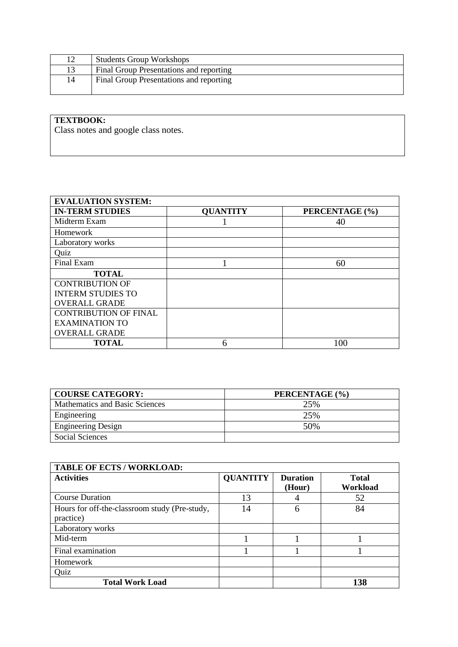|    | <b>Students Group Workshops</b>         |
|----|-----------------------------------------|
|    | Final Group Presentations and reporting |
| 14 | Final Group Presentations and reporting |

## **TEXTBOOK:**

Class notes and google class notes.

| <b>EVALUATION SYSTEM:</b>    |                 |                |
|------------------------------|-----------------|----------------|
| <b>IN-TERM STUDIES</b>       | <b>QUANTITY</b> | PERCENTAGE (%) |
| Midterm Exam                 |                 | 40             |
| Homework                     |                 |                |
| Laboratory works             |                 |                |
| Quiz                         |                 |                |
| Final Exam                   |                 | 60             |
| <b>TOTAL</b>                 |                 |                |
| <b>CONTRIBUTION OF</b>       |                 |                |
| <b>INTERM STUDIES TO</b>     |                 |                |
| <b>OVERALL GRADE</b>         |                 |                |
| <b>CONTRIBUTION OF FINAL</b> |                 |                |
| <b>EXAMINATION TO</b>        |                 |                |
| <b>OVERALL GRADE</b>         |                 |                |
| <b>TOTAL</b>                 |                 | 100            |

| <b>COURSE CATEGORY:</b>        | PERCENTAGE (%) |
|--------------------------------|----------------|
| Mathematics and Basic Sciences | 25%            |
| Engineering                    | 25%            |
| <b>Engineering Design</b>      | 50%            |
| Social Sciences                |                |

| <b>TABLE OF ECTS / WORKLOAD:</b>              |                 |                 |              |  |
|-----------------------------------------------|-----------------|-----------------|--------------|--|
| <b>Activities</b>                             | <b>QUANTITY</b> | <b>Duration</b> | <b>Total</b> |  |
|                                               |                 | (Hour)          | Workload     |  |
| <b>Course Duration</b>                        | 13              |                 | 52           |  |
| Hours for off-the-classroom study (Pre-study, | 14              | 6               | 84           |  |
| practice)                                     |                 |                 |              |  |
| Laboratory works                              |                 |                 |              |  |
| Mid-term                                      |                 |                 |              |  |
| Final examination                             |                 |                 |              |  |
| Homework                                      |                 |                 |              |  |
| Quiz                                          |                 |                 |              |  |
| <b>Total Work Load</b>                        |                 |                 | 138          |  |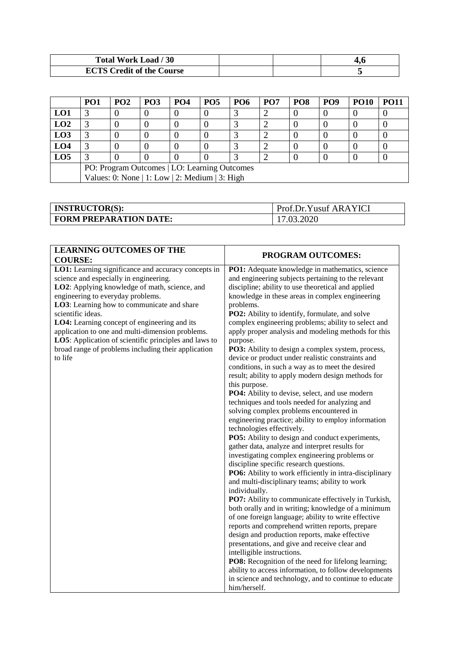| Total Work Load / 30             |  |
|----------------------------------|--|
| <b>ECTS Credit of the Course</b> |  |

|                                              | PO <sub>1</sub>                                | PO <sub>2</sub> | PO <sub>3</sub> | PO <sub>4</sub> | <b>PO5</b> | <b>PO6</b> | PO <sub>7</sub> | PO <sub>8</sub> | PO <sub>9</sub> | <b>PO10</b> | <b>PO11</b> |
|----------------------------------------------|------------------------------------------------|-----------------|-----------------|-----------------|------------|------------|-----------------|-----------------|-----------------|-------------|-------------|
| LO1                                          |                                                |                 | U               | O               |            |            |                 |                 |                 |             |             |
| LO2                                          |                                                |                 |                 |                 |            |            |                 |                 |                 |             |             |
| L <sub>03</sub>                              |                                                |                 |                 |                 |            |            |                 |                 |                 |             |             |
| LO <sub>4</sub>                              |                                                |                 |                 |                 |            |            |                 |                 |                 |             |             |
| LO <sub>5</sub>                              |                                                |                 |                 |                 |            |            |                 |                 |                 |             |             |
| PO: Program Outcomes   LO: Learning Outcomes |                                                |                 |                 |                 |            |            |                 |                 |                 |             |             |
|                                              | Values: 0: None   1: Low   2: Medium   3: High |                 |                 |                 |            |            |                 |                 |                 |             |             |

| <b>INSTRUCTOR(S):</b>         | <b>Prof.Dr.Yusuf ARAYICI</b> |
|-------------------------------|------------------------------|
| <b>FORM PREPARATION DATE:</b> | 17.03.2020                   |

| <b>LEARNING OUTCOMES OF THE</b><br><b>COURSE:</b>                                                                                                                                                                                                                                                                                                                                                                                                                                     | PROGRAM OUTCOMES:                                                                                                                                                                                                                                                                                                                                                                                                                                                                                                                                                                                                                                                                                                                                                                                                                                                                                                                                                                                                                                                                                                                                                                                                                                                                                                                                                                                                                                                                                                                                                                                                                                                                                                                                            |
|---------------------------------------------------------------------------------------------------------------------------------------------------------------------------------------------------------------------------------------------------------------------------------------------------------------------------------------------------------------------------------------------------------------------------------------------------------------------------------------|--------------------------------------------------------------------------------------------------------------------------------------------------------------------------------------------------------------------------------------------------------------------------------------------------------------------------------------------------------------------------------------------------------------------------------------------------------------------------------------------------------------------------------------------------------------------------------------------------------------------------------------------------------------------------------------------------------------------------------------------------------------------------------------------------------------------------------------------------------------------------------------------------------------------------------------------------------------------------------------------------------------------------------------------------------------------------------------------------------------------------------------------------------------------------------------------------------------------------------------------------------------------------------------------------------------------------------------------------------------------------------------------------------------------------------------------------------------------------------------------------------------------------------------------------------------------------------------------------------------------------------------------------------------------------------------------------------------------------------------------------------------|
| LO1: Learning significance and accuracy concepts in<br>science and especially in engineering.<br>LO2: Applying knowledge of math, science, and<br>engineering to everyday problems.<br>LO3: Learning how to communicate and share<br>scientific ideas.<br>LO4: Learning concept of engineering and its<br>application to one and multi-dimension problems.<br>LO5: Application of scientific principles and laws to<br>broad range of problems including their application<br>to life | PO1: Adequate knowledge in mathematics, science<br>and engineering subjects pertaining to the relevant<br>discipline; ability to use theoretical and applied<br>knowledge in these areas in complex engineering<br>problems.<br>PO2: Ability to identify, formulate, and solve<br>complex engineering problems; ability to select and<br>apply proper analysis and modeling methods for this<br>purpose.<br>PO3: Ability to design a complex system, process,<br>device or product under realistic constraints and<br>conditions, in such a way as to meet the desired<br>result; ability to apply modern design methods for<br>this purpose.<br>PO4: Ability to devise, select, and use modern<br>techniques and tools needed for analyzing and<br>solving complex problems encountered in<br>engineering practice; ability to employ information<br>technologies effectively.<br>PO5: Ability to design and conduct experiments,<br>gather data, analyze and interpret results for<br>investigating complex engineering problems or<br>discipline specific research questions.<br>PO6: Ability to work efficiently in intra-disciplinary<br>and multi-disciplinary teams; ability to work<br>individually.<br>PO7: Ability to communicate effectively in Turkish,<br>both orally and in writing; knowledge of a minimum<br>of one foreign language; ability to write effective<br>reports and comprehend written reports, prepare<br>design and production reports, make effective<br>presentations, and give and receive clear and<br>intelligible instructions.<br>PO8: Recognition of the need for lifelong learning;<br>ability to access information, to follow developments<br>in science and technology, and to continue to educate<br>him/herself. |